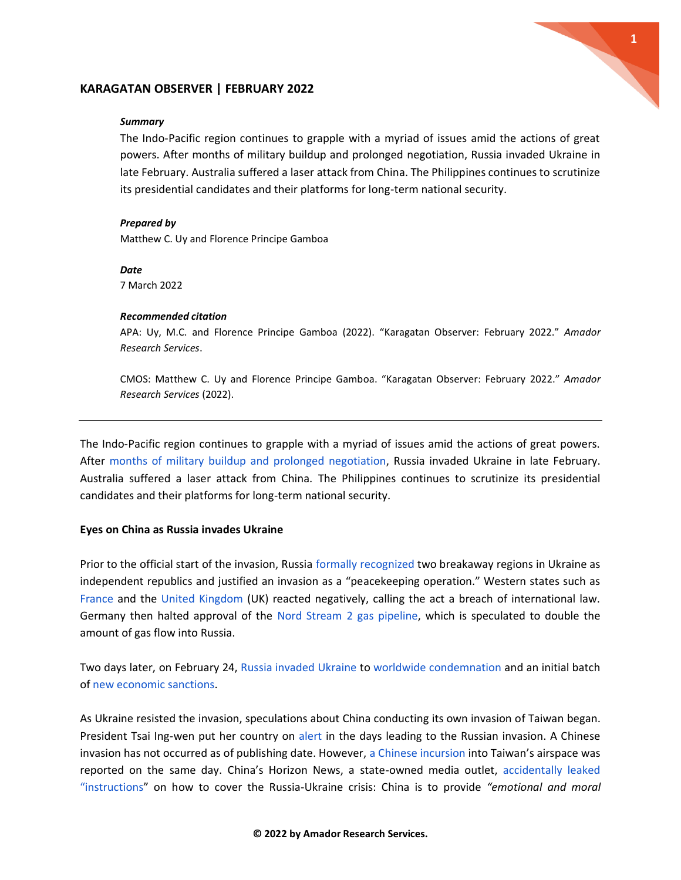

## **KARAGATAN OBSERVER | FEBRUARY 2022**

#### *Summary*

The Indo-Pacific region continues to grapple with a myriad of issues amid the actions of great powers. Afte[r](https://www.msn.com/en-us/news/world/timeline-after-months-of-tensions-russia-attacks-ukraine/ar-AAUeIYw) months of military buildup and prolonged negotiation, Russia invaded Ukraine in late February. Australia suffered a laser attack from China. The Philippines continues to scrutinize its presidential candidates and their platforms for long-term national security.

### *Prepared by*

Matthew C. Uy and Florence Principe Gamboa

*Date* 7 March 2022

#### *Recommended citation*

APA: Uy, M.C. and Florence Principe Gamboa (2022). "Karagatan Observer: February 2022." *Amador Research Services*.

CMOS: Matthew C. Uy and Florence Principe Gamboa. "Karagatan Observer: February 2022." *Amador Research Services* (2022).

The Indo-Pacific region continues to grapple with a myriad of issues amid the actions of great powers. Afte[r](https://www.msn.com/en-us/news/world/timeline-after-months-of-tensions-russia-attacks-ukraine/ar-AAUeIYw) [months of military buildup and prolonged negotiation,](https://www.msn.com/en-us/news/world/timeline-after-months-of-tensions-russia-attacks-ukraine/ar-AAUeIYw) Russia invaded Ukraine in late February. Australia suffered a laser attack from China. The Philippines continues to scrutinize its presidential candidates and their platforms for long-term national security.

## **Eyes on China as Russia invades Ukraine**

Prior to the official start of the invasion, Russi[a](https://newsinfo.inquirer.net/1557976/putin-recognises-ukraine-rebel-regions-sends-troops-on-what-moscow-calls-peacekeeping-mission) [formally recognized](https://newsinfo.inquirer.net/1557976/putin-recognises-ukraine-rebel-regions-sends-troops-on-what-moscow-calls-peacekeeping-mission) two breakaway regions in Ukraine as independent republics and justified an invasion as a "peacekeeping operation." Western states such a[s](https://www.gmanetwork.com/news/topstories/world/822633/france-condemns-russia-s-recognition-of-rebel-held-ukrainian-territories-elysee/story/?just_in) [France](https://www.gmanetwork.com/news/topstories/world/822633/france-condemns-russia-s-recognition-of-rebel-held-ukrainian-territories-elysee/story/?just_in) and th[e](https://www.gmanetwork.com/news/topstories/world/822637/britain-prepares-russia-sanctions-says-putin-has-broken-international-law/story/?just_in) [United Kingdom](https://www.gmanetwork.com/news/topstories/world/822637/britain-prepares-russia-sanctions-says-putin-has-broken-international-law/story/?just_in) (UK) reacted negatively, calling the act a breach of international law. Germany then halted approval of the [Nord Stream 2 gas pipeline,](https://www.cnbc.com/2022/02/22/germany-halts-certification-of-nord-stream-2-amid-russia-ukraine-crisis.html) which is speculated to double the amount of gas flow into Russia.

Two days later, on February 24, [Russia invaded Ukraine](https://mb.com.ph/2022/02/24/russias-putin-announces-military-operation-in-ukraine/) t[o](https://newsinfo.inquirer.net/1559354/unprovoked-and-unjustified-world-reacts-to-attack-on-ukraine) [worldwide condemnation](https://newsinfo.inquirer.net/1559354/unprovoked-and-unjustified-world-reacts-to-attack-on-ukraine) and an initial batch of [new economic sanctions.](https://www.cnnphilippines.com/world/2022/2/24/World-leaders-reaction-Ukraine-Russia-invasion.html)

As Ukraine resisted the invasion, speculations about China conducting its own invasion of Taiwan began. President Tsai Ing-wen put her country on [alert](https://www.scmp.com/news/china/military/article/3168052/taiwan-military-ordered-be-combat-ready-case-disruption-outside) in the days leading to the Russian invasion. A Chinese invasion has not occurred as of publishing date. However, [a Chinese incursion](https://newsinfo.inquirer.net/1559612/taiwan-warns-chinese-aircraft-in-its-air-defence-zone) into Taiwan's airspace was reported on the same day. China's Horizon News, a state-owned media outlet[,](https://www.businessinsider.com/china-news-outlet-ukraine-coverage-instructions-weibo-horizon-russia-2022-2) [accidentally leaked](https://www.businessinsider.com/china-news-outlet-ukraine-coverage-instructions-weibo-horizon-russia-2022-2)  ["instructions"](https://www.businessinsider.com/china-news-outlet-ukraine-coverage-instructions-weibo-horizon-russia-2022-2) on how to cover the Russia-Ukraine crisis: China is to provide *"emotional and moral*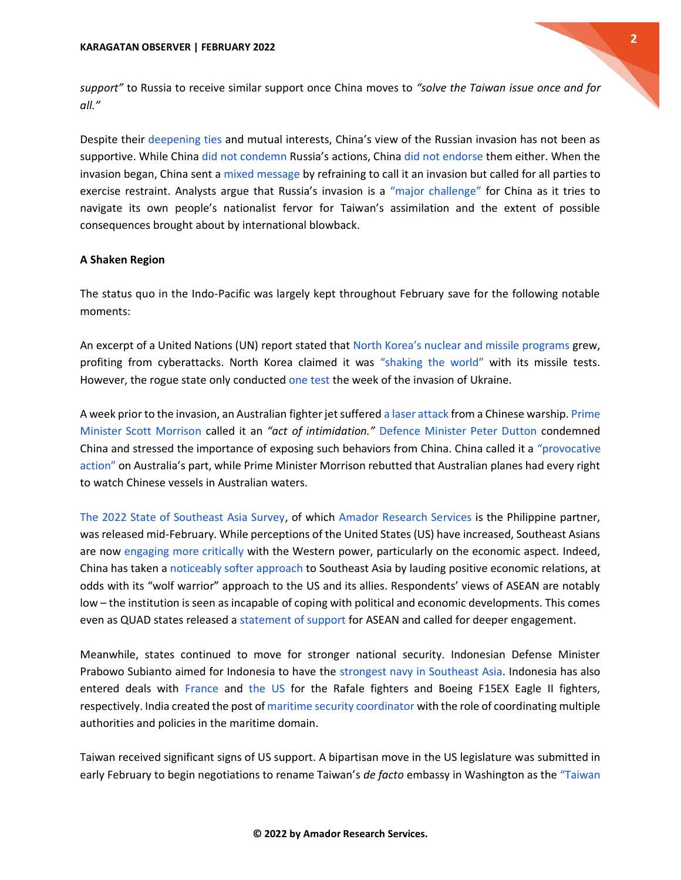

*support"* to Russia to receive similar support once China moves to *"solve the Taiwan issue once and for all."*

Despite their [deepening ties](https://www.smh.com.au/world/asia/russia-china-condemn-aukus-affirm-no-limits-to-their-partnership-20220205-p59u11.html) and mutual interests, China's view of the Russian invasion has not been as supportive. While China [did not condemn](https://www.cnnphilippines.com/world/2022/2/22/china-reaction-on-russia-ukraine-crisis.html) Russia's actions, China [did not endorse](https://www.republicworld.com/world-news/russia-ukraine-crisis/ukraine-crisis-tests-china-russia-partnership.html) them either. When the invasion began, China sent [a](https://news.abs-cbn.com/overseas/02/25/22/china-rejects-calling-russia-move-invasion) [mixed message](https://news.abs-cbn.com/overseas/02/25/22/china-rejects-calling-russia-move-invasion) by refraining to call it an invasion but called for all parties to exercise restraint. Analysts argue that Russia's invasion is a ["major challenge"](https://www.bbc.com/news/world-asia-china-60492134) for China as it tries to navigate its own people's nationalist fervor for Taiwan's assimilation and the extent of possible consequences brought about by international blowback.

# **A Shaken Region**

The status quo in the Indo-Pacific was largely kept throughout February save for the following notable moments:

An excerpt of a United Nations (UN) report stated that [North Korea's nuclear and missile programs](https://newsinfo.inquirer.net/1550607/north-korea-grows-nuclear-missiles-programs-profits-from-cyberattacks-un-report) grew, profiting from cyberattacks. North Korea claimed it was ["shaking the world"](https://newsinfo.inquirer.net/1552394/north-korea-boasts-of-shaking-the-world-by-testing-missiles-that-can-strike-us) with its missile tests. However, the rogue state only conducte[d](https://newsinfo.inquirer.net/1560715/north-korea-fires-ballistic-missile-resumes-show-of-force-after-month-long-hiatus) [one test](https://newsinfo.inquirer.net/1560715/north-korea-fires-ballistic-missile-resumes-show-of-force-after-month-long-hiatus) the week of the invasion of Ukraine.

A week prior to the invasion, an Australian fighter jet suffere[d](https://www.cnnphilippines.com/world/2022/2/19/Australia-Chinese-warship-illuminated.html) [a laser attack](https://www.cnnphilippines.com/world/2022/2/19/Australia-Chinese-warship-illuminated.html) from a Chinese warship[.](https://www.abc.net.au/news/2022-02-19/defence-accuses-chinese-warship-of-dangerous-act-laser-shone/100845702) [Prime](https://www.abc.net.au/news/2022-02-19/defence-accuses-chinese-warship-of-dangerous-act-laser-shone/100845702)  [Minister Scott Morrison](https://www.abc.net.au/news/2022-02-19/defence-accuses-chinese-warship-of-dangerous-act-laser-shone/100845702) called it an *"act of intimidation.["](https://www.skynews.com.au/australia-news/politics/defence-minister-peter-dutton-blasts-bully-china-for-acts-of-aggression-after-laser-attack-on-raaf-aircraft/news-story/d00ffb3bb89238924b0c834d83e38043)* [Defence Minister Peter Dutton](https://www.skynews.com.au/australia-news/politics/defence-minister-peter-dutton-blasts-bully-china-for-acts-of-aggression-after-laser-attack-on-raaf-aircraft/news-story/d00ffb3bb89238924b0c834d83e38043) condemned China and stressed the importance of exposing such behaviors from China. China called it [a](https://news.abs-cbn.com/overseas/02/22/22/australia-plane-had-right-to-watch-china-navy-vessel-in-its-waters) ["provocative](https://news.abs-cbn.com/overseas/02/22/22/australia-plane-had-right-to-watch-china-navy-vessel-in-its-waters)  [action"](https://news.abs-cbn.com/overseas/02/22/22/australia-plane-had-right-to-watch-china-navy-vessel-in-its-waters) on Australia's part, while Prime Minister Morrison rebutted that Australian planes had every right to watch Chinese vessels in Australian waters.

[The 2022 State of Southeast Asia Survey,](https://www.iseas.edu.sg/wp-content/uploads/2022/02/The-State-of-SEA-2022_FA_Digital_FINAL.pdf) of which [Amador Research Services](https://www.amadorresearchservices.com/post/iseas-releases-2022-state-of-southeast-asia-survey-results) is the Philippine partner, was released mid-February. While perceptions of the United States (US) have increased, Southeast Asians are now [engaging more critically](https://www.iseas.edu.sg/articles-commentaries/iseas-perspective/2020-17-southeast-asia-holds-mixed-perceptions-of-the-biden-administration-by-hoang-thi-ha/) with the Western power, particularly on the economic aspect. Indeed, China has taken [a](https://fulcrum.sg/polite-wolves-chinas-soft-twitter-diplomacy-in-southeast-asia/) [noticeably softer approach](https://fulcrum.sg/polite-wolves-chinas-soft-twitter-diplomacy-in-southeast-asia/) to Southeast Asia by lauding positive economic relations, at odds with its "wolf warrior" approach to the US and its allies. Respondents' views of ASEAN are notably low – the institution is seen as incapable of coping with political and economic developments. This comes even as QUAD states released [a](https://www.state.gov/joint-statement-on-quad-cooperation-in-the-indo-pacific/) [statement of support](https://www.state.gov/joint-statement-on-quad-cooperation-in-the-indo-pacific/) for ASEAN and called for deeper engagement.

Meanwhile, states continued to move for stronger national security. Indonesian Defense Minister Prabowo Subianto aimed for Indonesia to have th[e](https://www.asiapacificdefensejournal.com/2022/02/indonesia-aims-to-have-strongest-navy_3.html) [strongest navy in Southeast Asia.](https://www.asiapacificdefensejournal.com/2022/02/indonesia-aims-to-have-strongest-navy_3.html) Indonesia has also entered deals with [France](https://www.asiapacificdefensejournal.com/2022/02/indonesia-buys-6-rafale-fighters-agrees_10.html) an[d](https://www.asiapacificdefensejournal.com/2022/02/indonesia-receives-us-state-dept.html) [the US](https://www.asiapacificdefensejournal.com/2022/02/indonesia-receives-us-state-dept.html) for the Rafale fighters and Boeing F15EX Eagle II fighters, respectively. India created the post o[f](https://timesofindia.indiatimes.com/india/india-gets-its-first-national-maritime-security-coordinator/articleshow/89622219.cms) [maritime security coordinator](https://timesofindia.indiatimes.com/india/india-gets-its-first-national-maritime-security-coordinator/articleshow/89622219.cms) with the role of coordinating multiple authorities and policies in the maritime domain.

Taiwan received significant signs of US support. A bipartisan move in the US legislature was submitted in early February to begin negotiations to rename Taiwan's *de facto* embassy in Washington as the ["Taiwan](https://newsinfo.inquirer.net/1549890/us-lawmakers-push-to-rename-taiwans-de-facto-embassy-in-washington)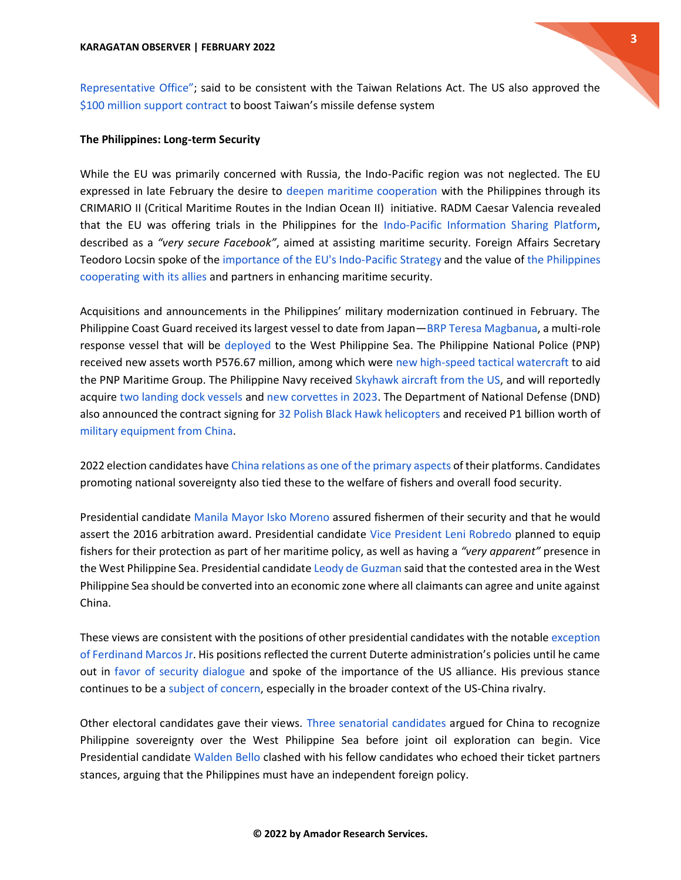### **The Philippines: Long-term Security**

While the EU was primarily concerned with Russia, the Indo-Pacific region was not neglected. The EU expressed in late February the desire to [deepen maritime cooperation](https://news.abs-cbn.com/news/02/28/22/eu-wants-to-beef-up-maritime-cooperation-with-ph) with the Philippines through its CRIMARIO II (Critical Maritime Routes in the Indian Ocean II) initiative. RADM Caesar Valencia revealed that the EU was offering trials in the Philippines for the [Indo-Pacific Information Sharing Platform,](https://www.scmp.com/week-asia/politics/article/3168788/south-china-sea-eu-offers-encrypted-tool-fight-maritime-security) described as a *"very secure Facebook"*, aimed at assisting maritime security. Foreign Affairs Secretary Teodoro Locsin spoke of the [importance of the EU's Indo-Pacific Strategy](https://dfa.gov.ph/dfa-news/statements-and-advisoriesupdate/30141-statement-of-foreign-affairs-secretary-teodoro-l-locsin-jr-on-the-eu-ministerial-forum-for-cooperation-in-the-indo-pacific) and the value of [the Philippines](https://businessmirror.com.ph/2022/03/02/sfa-amplifies-phl-focus-on-asean-maritime-security-ties-backs-sustainability-openness-in-european-union-ministerial-fora/)  [cooperating with its allies](https://businessmirror.com.ph/2022/03/02/sfa-amplifies-phl-focus-on-asean-maritime-security-ties-backs-sustainability-openness-in-european-union-ministerial-fora/) and partners in enhancing maritime security.

Acquisitions and announcements in the Philippines' military modernization continued in February. The Philippine Coast Guard received its largest vessel to date from Japan—[BRP Teresa Magbanua,](https://www.manilatimes.net/2022/02/22/news/first-ph-disaster-response-ship-sails-from-japan/1833847) a multi-role response vessel that will be [deployed](https://www.onenews.ph/articles/pcg-to-deploy-biggest-vessel-to-wps) to the West Philippine Sea. The Philippine National Police (PNP) received new assets worth P576.67 million, among which were [new high-speed tactical watercraft](https://www.gmanetwork.com/news/topstories/nation/821320/pnp-acquires-new-boats-trucks-communication-equipment-to-support-operations/story/) to aid the PNP Maritime Group. The Philippine Navy received [Skyhawk aircraft from the US,](https://www.pna.gov.ph/articles/1167472) and will reportedly acquir[e](https://www.thedefensepost.com/2022/02/09/philippines-landing-dock-vessels/) [two landing dock vessels](https://www.thedefensepost.com/2022/02/09/philippines-landing-dock-vessels/) and [new corvettes in 2023.](https://www.navalnews.com/naval-news/2022/02/sea-to-supply-torpedo-launcher-to-hhi-for-new-philippine-navy-corvettes/) The Department of National Defense (DND) also announced the contract signing for [32 Polish Black Hawk helicopters](https://newsinfo.inquirer.net/1558350/lorenzana-polish-firm-inks-contract-for-32-black-hawk-choppers) and received P1 billion worth o[f](https://www.gmanetwork.com/news/topstories/nation/821279/philippines-gets-p1b-in-military-equipment-from-china-dnd/story/) [military equipment from China.](https://www.gmanetwork.com/news/topstories/nation/821279/philippines-gets-p1b-in-military-equipment-from-china-dnd/story/)

2022 election candidates hav[e](https://www.iseas.edu.sg/articles-commentaries/iseas-perspective/2022-16-the-philippines-china-policy-and-the-2022-elections-time-for-a-rethink-by-charmaine-misalucha-willoughby/) [China relations as one of the primary aspects](https://www.iseas.edu.sg/articles-commentaries/iseas-perspective/2022-16-the-philippines-china-policy-and-the-2022-elections-time-for-a-rethink-by-charmaine-misalucha-willoughby/) of their platforms. Candidates promoting national sovereignty also tied these to the welfare of fishers and overall food security.

Presidential candidat[e](https://newsinfo.inquirer.net/1548209/isko-moreno-vows-to-protect-farmers-fishers-to-ensure-phs-food-security) [Manila Mayor Isko Moreno](https://newsinfo.inquirer.net/1548209/isko-moreno-vows-to-protect-farmers-fishers-to-ensure-phs-food-security) assured fishermen of their security and that he would assert the 2016 arbitration award. Presidential candidate [Vice President Leni Robredo](https://mb.com.ph/2022/02/02/here-are-robredos-plans-if-ph-is-attacked-by-chinese-militia-ships/) planned to equip fishers for their protection as part of her maritime policy, as well as having a *"very apparent"* presence in the West Philippine Sea. Presidential candidate [Leody de Guzman](https://newsinfo.inquirer.net/1555177/ka-leody-eyes-converting-west-ph-sea-into-economic-zone) said that the contested area in the West Philippine Sea should be converted into an economic zone where all claimants can agree and unite against China.

These views are consistent with the positions of other presidential candidates with the notable [exception](https://opinion.inquirer.net/149555/on-china-marcos-jr-vs-leni#ixzz7KFa8fxrk)  [of Ferdinand Marcos Jr](https://opinion.inquirer.net/149555/on-china-marcos-jr-vs-leni#ixzz7KFa8fxrk). His positions reflected the current Duterte administration's policies until he came out in [favor of security dialogue](https://newsinfo.inquirer.net/1555215/marcos-supports-security-dialogue-with-us-3-other-countries) and spoke of the importance of the US alliance. His previous stance continues to be [a](https://www.washingtonexaminer.com/restoring-america/patriotism-unity/xi-the-pirate-faces-new-challenges-to-his-south-china-sea-imperialism) [subject of concern,](https://www.washingtonexaminer.com/restoring-america/patriotism-unity/xi-the-pirate-faces-new-challenges-to-his-south-china-sea-imperialism) especially in the broader context of the US-China rivalry.

Other electoral candidates gave their views[.](https://cnnphilippines.com/news/2022/2/6/Legarda-Teodoro-Trillanes-joint-oil-exploration.html) [Three senatorial candidates](https://cnnphilippines.com/news/2022/2/6/Legarda-Teodoro-Trillanes-joint-oil-exploration.html) argued for China to recognize Philippine sovereignty over the West Philippine Sea before joint oil exploration can begin. Vice Presidential candidate [Walden Bello](https://newsinfo.inquirer.net/1560321/bello-clashes-with-pangilinan-on-issue-of-ph-maritime-security) clashed with his fellow candidates who echoed their ticket partners stances, arguing that the Philippines must have an independent foreign policy.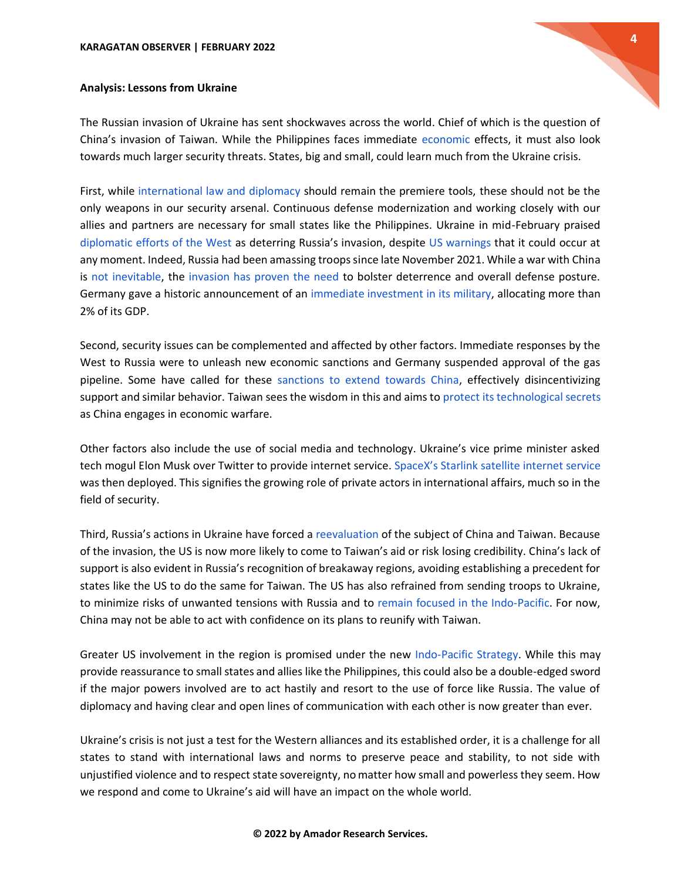

# **Analysis: Lessons from Ukraine**

The Russian invasion of Ukraine has sent shockwaves across the world. Chief of which is the question of China's invasion of Taiwan. While the Philippines faces immediate [economic](https://business.inquirer.net/341970/ukraine-crisis-fallout-slower-global-economic-growth-higher-consumer-prices-in-ph) effects, it must also look towards much larger security threats. States, big and small, could learn much from the Ukraine crisis.

First, while [international law and diplomacy](https://www.pna.gov.ph/articles/1167031) should remain the premiere tools, [t](https://www.pna.gov.ph/articles/1167031)hese should not be the only weapons in our security arsenal. Continuous defense modernization and working closely with our allies and partners are necessary for small states like the Philippines. Ukraine in mid-February praise[d](https://www.barrons.com/news/ukraine-and-west-have-stopped-russian-escalation-kyiv-01644916207?refsec=afp-news) [diplomatic efforts of the West](https://www.barrons.com/news/ukraine-and-west-have-stopped-russian-escalation-kyiv-01644916207?refsec=afp-news) as deterring Russia's invasion, despite [US warnings](https://cnnphilippines.com/world/2022/2/12/blinken-ukraine-russia-quad-melbourne.html) that it could occur at any moment. Indeed, Russia had been amassing troops since late November 2021. While a war with China is [not inevitable,](https://apnews.com/article/antony-blinken-australia-europe-china-japan-de75bda9a1b7f1ca778ca9060f9e10a5) th[e](https://www.taipeitimes.com/News/editorials/archives/2022/02/21/2003773467) [invasion has proven the need](https://www.taipeitimes.com/News/editorials/archives/2022/02/21/2003773467) to bolster deterrence and overall defense posture. Germany gave a historic announcement of an [immediate investment in its military,](https://www.upi.com/Top_News/World-News/2022/02/27/germany-increase-military-spending/2481646018139/) allocating more than 2% of its GDP.

Second, security issues can be complemented and affected by other factors. Immediate responses by the West to Russia were to unleash new economic sanctions and Germany suspended approval of the gas pipeline. Some have called for these [sanctions to extend towards China,](https://foreignpolicy.com/2022/02/17/russia-ukraine-china-united-states-secondary-sanctions-putin-xi/) effectively disincentivizing support and similar behavior. Taiwan sees the wisdom in this and aims to [protect its technological secrets](https://m-economictimes-com.cdn.ampproject.org/c/s/m.economictimes.com/news/international/business/semiconductor-secrets-taiwans-government-propose-a-law-to-prevent-china-from-stealing-its-chip-technology/amp_articleshow/89633337.cms) as China engages in economic warfare.

Other factors also include the use of social media and technology. Ukraine's vice prime minister asked tech mogul Elon Musk over Twitter to provide internet service[.](https://www.cnnphilippines.com/business/2022/2/28/Starlink-activated-Ukraine.html) [SpaceX's Starlink satellite internet service](https://www.cnnphilippines.com/business/2022/2/28/Starlink-activated-Ukraine.html) was then deployed. This signifies the growing role of private actors in international affairs, much so in the field of security.

Third, Russia's actions in Ukraine have forced [a](https://www.cfr.org/blog/putins-aggression-against-ukraine-deals-blow-chinas-hopes-taiwan) [reevaluation](https://www.cfr.org/blog/putins-aggression-against-ukraine-deals-blow-chinas-hopes-taiwan) of the subject of China and Taiwan. Because of the invasion, the US is now more likely to come to Taiwan's aid or risk losing credibility. China's lack of support is also evident in Russia's recognition of breakaway regions, avoiding establishing a precedent for states like the US to do the same for Taiwan. The US has also refrained from sending troops to Ukraine, to minimize risks of unwanted tensions with Russia and t[o](https://www.taipeitimes.com/News/editorials/archives/2022/02/21/2003773467) [remain focused in the Indo-Pacific.](https://www.taipeitimes.com/News/editorials/archives/2022/02/21/2003773467) For now, China may not be able to act with confidence on its plans to reunify with Taiwan.

Greater US involvement in the region is promised under the ne[w](https://www.whitehouse.gov/briefing-room/speeches-remarks/2022/02/11/fact-sheet-indo-pacific-strategy-of-the-united-states/) [Indo-Pacific Strategy.](https://www.whitehouse.gov/briefing-room/speeches-remarks/2022/02/11/fact-sheet-indo-pacific-strategy-of-the-united-states/) While this may provide reassurance to small states and allies like the Philippines, this could also be a double-edged sword if the major powers involved are to act hastily and resort to the use of force like Russia. The value of diplomacy and having clear and open lines of communication with each other is now greater than ever.

Ukraine's crisis is not just a test for the Western alliances and its established order, it is a challenge for all states to stand with international laws and norms to preserve peace and stability, to not side with unjustified violence and to respect state sovereignty, no matter how small and powerless they seem. How we respond and come to Ukraine's aid will have an impact on the whole world.